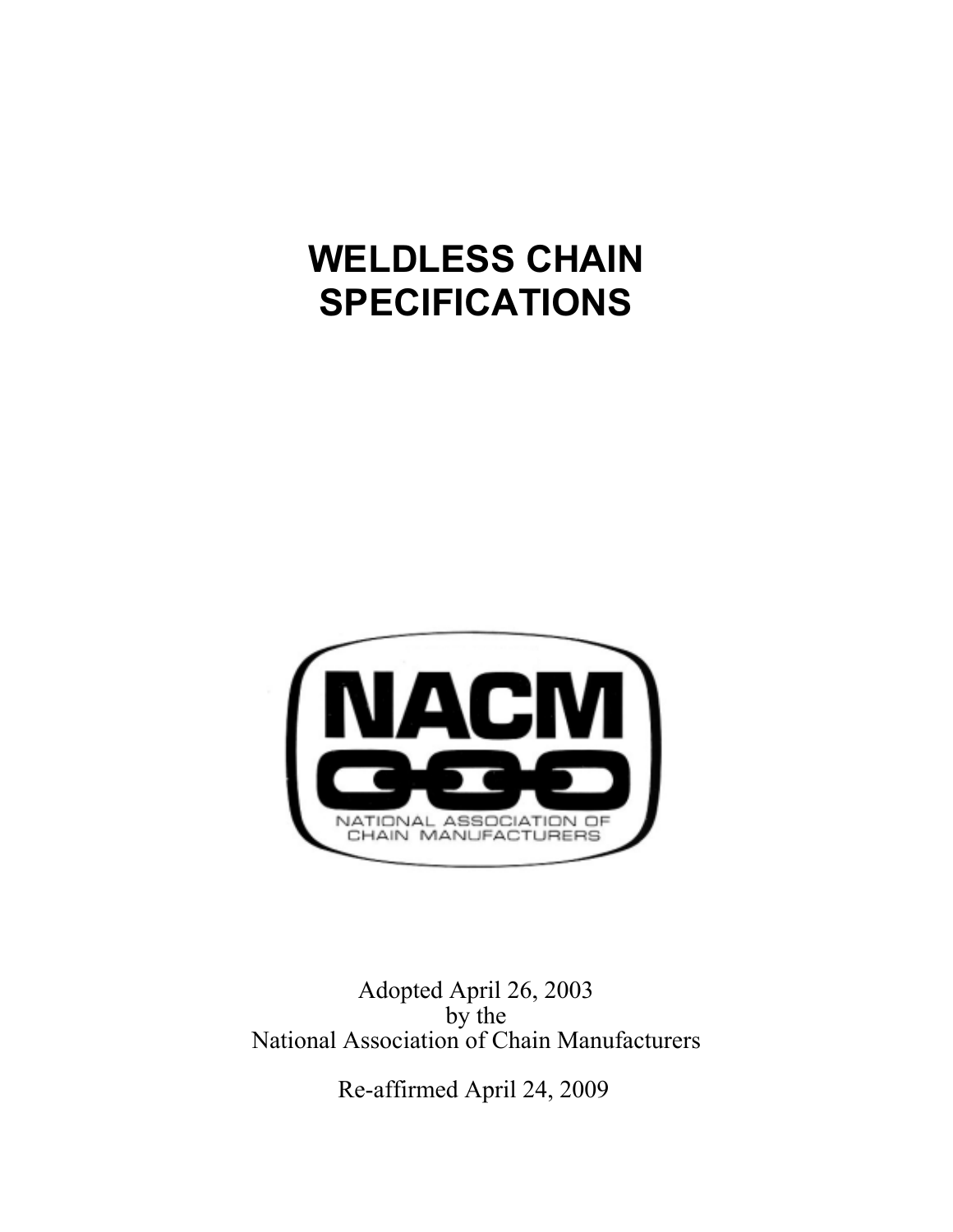# **WELDLESS CHAIN SPECIFICATIONS**



Adopted April 26, 2003 by the National Association of Chain Manufacturers

Re-affirmed April 24, 2009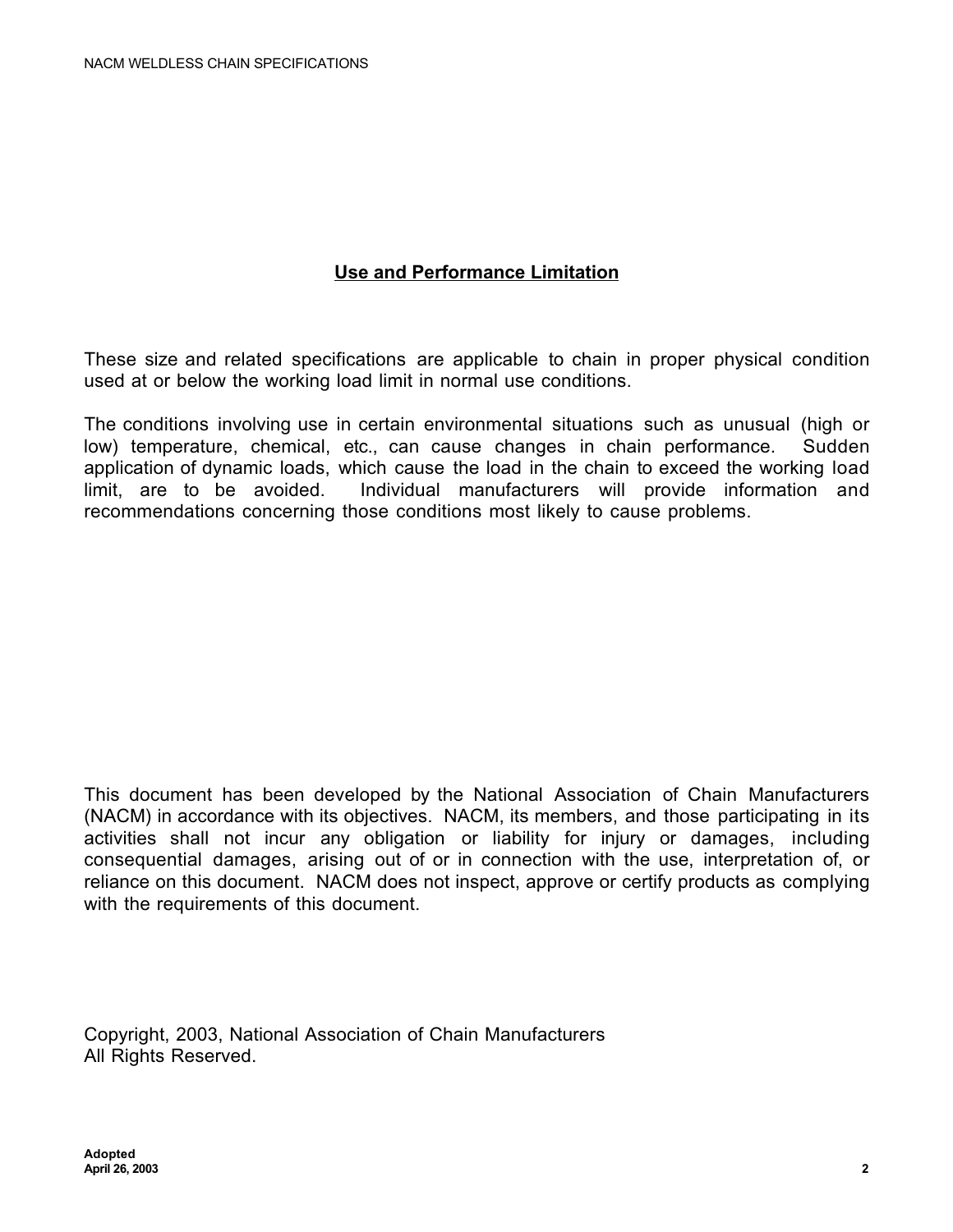# **Use and Performance Limitation**

These size and related specifications are applicable to chain in proper physical condition used at or below the working load limit in normal use conditions.

The conditions involving use in certain environmental situations such as unusual (high or low) temperature, chemical, etc., can cause changes in chain performance. Sudden application of dynamic loads, which cause the load in the chain to exceed the working load limit, are to be avoided. Individual manufacturers will provide information and recommendations concerning those conditions most likely to cause problems.

This document has been developed by the National Association of Chain Manufacturers (NACM) in accordance with its objectives. NACM, its members, and those participating in its activities shall not incur any obligation or liability for injury or damages, including consequential damages, arising out of or in connection with the use, interpretation of, or reliance on this document. NACM does not inspect, approve or certify products as complying with the requirements of this document.

Copyright, 2003, National Association of Chain Manufacturers All Rights Reserved.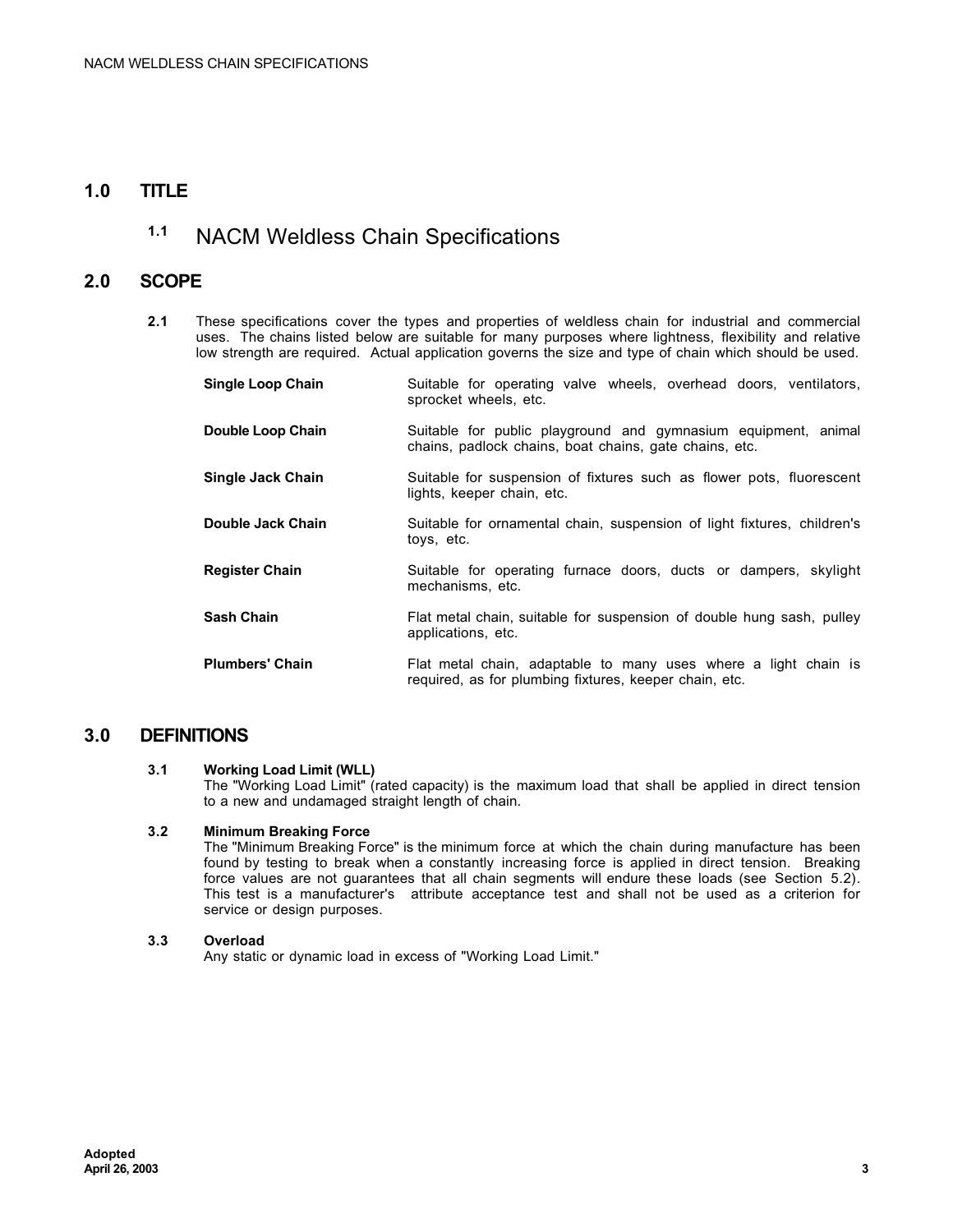# **1.0 TITLE**

# **1.1** NACM Weldless Chain Specifications

# **2.0 SCOPE**

**2.1** These specifications cover the types and properties of weldless chain for industrial and commercial uses. The chains listed below are suitable for many purposes where lightness, flexibility and relative low strength are required. Actual application governs the size and type of chain which should be used.

| <b>Single Loop Chain</b> | Suitable for operating valve wheels, overhead doors, ventilators,<br>sprocket wheels, etc.                                |  |  |  |  |  |  |  |  |
|--------------------------|---------------------------------------------------------------------------------------------------------------------------|--|--|--|--|--|--|--|--|
| Double Loop Chain        | Suitable for public playground and gymnasium equipment, animal<br>chains, padlock chains, boat chains, gate chains, etc.  |  |  |  |  |  |  |  |  |
| <b>Single Jack Chain</b> | Suitable for suspension of fixtures such as flower pots, fluorescent<br>lights, keeper chain, etc.                        |  |  |  |  |  |  |  |  |
| Double Jack Chain        | Suitable for ornamental chain, suspension of light fixtures, children's<br>toys, etc.                                     |  |  |  |  |  |  |  |  |
| <b>Register Chain</b>    | Suitable for operating furnace doors, ducts or dampers, skylight<br>mechanisms, etc.                                      |  |  |  |  |  |  |  |  |
| <b>Sash Chain</b>        | Flat metal chain, suitable for suspension of double hung sash, pulley<br>applications, etc.                               |  |  |  |  |  |  |  |  |
| <b>Plumbers' Chain</b>   | Flat metal chain, adaptable to many uses where a light chain is<br>required, as for plumbing fixtures, keeper chain, etc. |  |  |  |  |  |  |  |  |

## **3.0 DEFINITIONS**

#### **3.1 Working Load Limit (WLL)**

The "Working Load Limit" (rated capacity) is the maximum load that shall be applied in direct tension to a new and undamaged straight length of chain.

#### **3.2 Minimum Breaking Force**

The "Minimum Breaking Force" is the minimum force at which the chain during manufacture has been found by testing to break when a constantly increasing force is applied in direct tension. Breaking force values are not guarantees that all chain segments will endure these loads (see Section 5.2). This test is a manufacturer's attribute acceptance test and shall not be used as a criterion for service or design purposes.

#### **3.3 Overload**

Any static or dynamic load in excess of "Working Load Limit."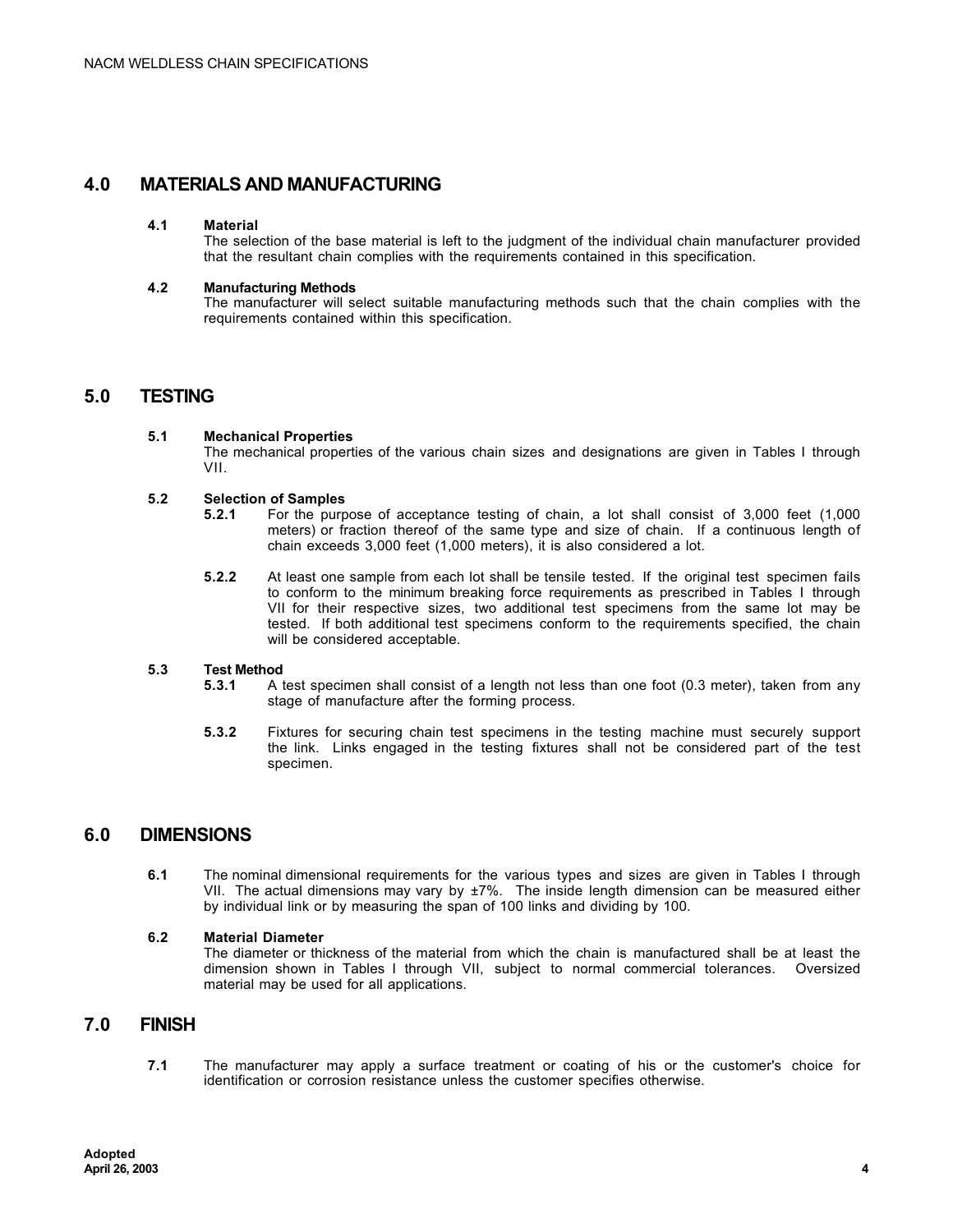# **4.0 MATERIALS AND MANUFACTURING**

#### **4.1 Material**

The selection of the base material is left to the judgment of the individual chain manufacturer provided that the resultant chain complies with the requirements contained in this specification.

#### **4.2 Manufacturing Methods**

The manufacturer will select suitable manufacturing methods such that the chain complies with the requirements contained within this specification.

## **5.0 TESTING**

#### **5.1 Mechanical Properties**

The mechanical properties of the various chain sizes and designations are given in Tables I through VII.

# **5.2 Selection of Samples**

- **5.2.1** For the purpose of acceptance testing of chain, a lot shall consist of 3,000 feet (1,000 meters) or fraction thereof of the same type and size of chain. If a continuous length of chain exceeds 3,000 feet (1,000 meters), it is also considered a lot.
- **5.2.2** At least one sample from each lot shall be tensile tested. If the original test specimen fails to conform to the minimum breaking force requirements as prescribed in Tables I through VII for their respective sizes, two additional test specimens from the same lot may be tested. If both additional test specimens conform to the requirements specified, the chain will be considered acceptable.

# **5.3 Test Method**

- **5.3.1** A test specimen shall consist of a length not less than one foot (0.3 meter), taken from any stage of manufacture after the forming process.
- **5.3.2** Fixtures for securing chain test specimens in the testing machine must securely support the link. Links engaged in the testing fixtures shall not be considered part of the test specimen.

## **6.0 DIMENSIONS**

**6.1** The nominal dimensional requirements for the various types and sizes are given in Tables I through VII. The actual dimensions may vary by ±7%. The inside length dimension can be measured either by individual link or by measuring the span of 100 links and dividing by 100.

#### **6.2 Material Diameter**

The diameter or thickness of the material from which the chain is manufactured shall be at least the dimension shown in Tables I through VII, subject to normal commercial tolerances. Oversized dimension shown in Tables I through VII, subject to normal commercial tolerances. material may be used for all applications.

#### **7.0 FINISH**

**7.1** The manufacturer may apply a surface treatment or coating of his or the customer's choice for identification or corrosion resistance unless the customer specifies otherwise.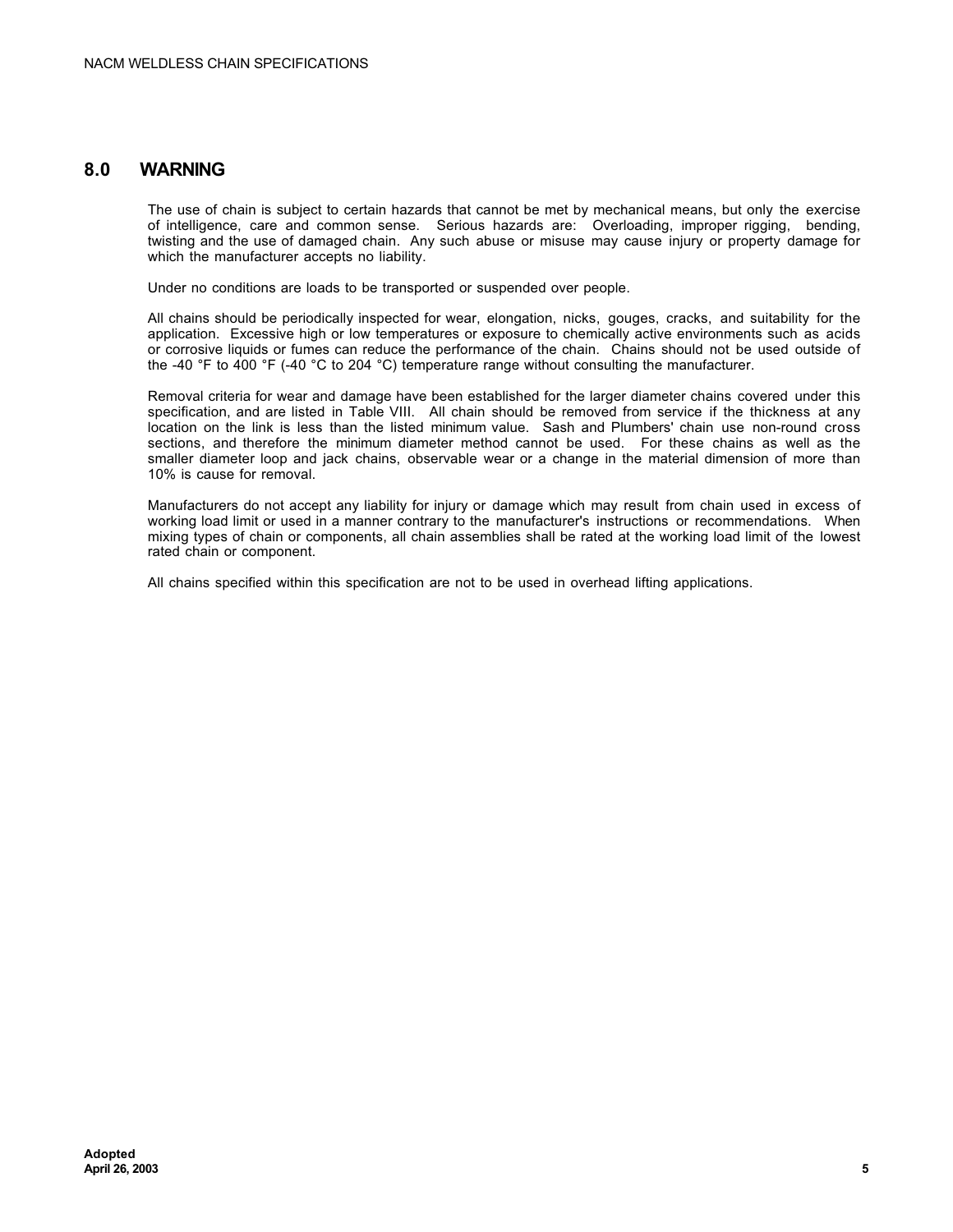### **8.0 WARNING**

The use of chain is subject to certain hazards that cannot be met by mechanical means, but only the exercise of intelligence, care and common sense. Serious hazards are: Overloading, improper rigging, bending, twisting and the use of damaged chain. Any such abuse or misuse may cause injury or property damage for which the manufacturer accepts no liability.

Under no conditions are loads to be transported or suspended over people.

All chains should be periodically inspected for wear, elongation, nicks, gouges, cracks, and suitability for the application. Excessive high or low temperatures or exposure to chemically active environments such as acids or corrosive liquids or fumes can reduce the performance of the chain. Chains should not be used outside of the -40 °F to 400 °F (-40 °C to 204 °C) temperature range without consulting the manufacturer.

Removal criteria for wear and damage have been established for the larger diameter chains covered under this specification, and are listed in Table VIII. All chain should be removed from service if the thickness at any location on the link is less than the listed minimum value. Sash and Plumbers' chain use non-round cross sections, and therefore the minimum diameter method cannot be used. For these chains as well as the smaller diameter loop and jack chains, observable wear or a change in the material dimension of more than 10% is cause for removal.

Manufacturers do not accept any liability for injury or damage which may result from chain used in excess of working load limit or used in a manner contrary to the manufacturer's instructions or recommendations. When mixing types of chain or components, all chain assemblies shall be rated at the working load limit of the lowest rated chain or component.

All chains specified within this specification are not to be used in overhead lifting applications.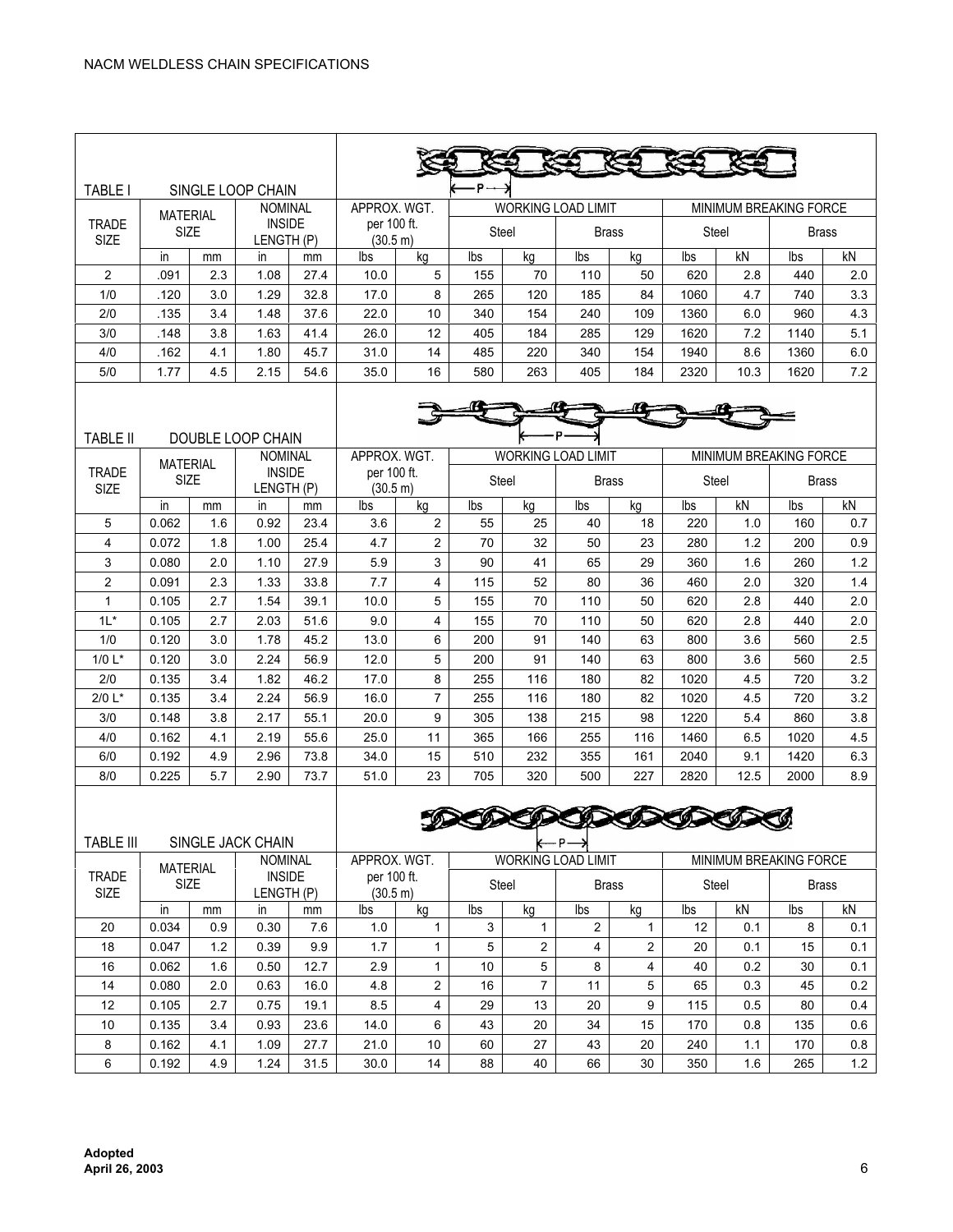| <b>TABLE I</b>                                 |                                                               |     | SINGLE LOOP CHAIN           |                         |                         |                                           | р.    |                           |              |                         |                               |                               |                               |     |
|------------------------------------------------|---------------------------------------------------------------|-----|-----------------------------|-------------------------|-------------------------|-------------------------------------------|-------|---------------------------|--------------|-------------------------|-------------------------------|-------------------------------|-------------------------------|-----|
|                                                |                                                               |     | <b>NOMINAL</b>              |                         | APPROX. WGT.            |                                           |       | <b>WORKING LOAD LIMIT</b> |              |                         |                               |                               | <b>MINIMUM BREAKING FORCE</b> |     |
| <b>TRADE</b><br>SIZE                           | <b>MATERIAL</b><br><b>INSIDE</b><br><b>SIZE</b><br>LENGTH (P) |     | per 100 ft.<br>(30.5 m)     |                         |                         | Steel                                     |       | <b>Brass</b>              |              | Steel                   |                               | <b>Brass</b>                  |                               |     |
|                                                | in                                                            | mm  | in.                         | mm                      | lbs                     | kg                                        | lbs   | kg                        | lbs          | kg                      | lbs                           | kN                            | lbs                           | kN  |
| 2                                              | .091                                                          | 2.3 | 1.08                        | 27.4                    | 10.0                    | 5                                         | 155   | 70                        | 110          | 50                      | 620                           | 2.8                           | 440                           | 2.0 |
| 1/0                                            | .120                                                          | 3.0 | 1.29                        | 32.8                    | 17.0                    | 8                                         | 265   | 120                       | 185          | 84                      | 1060                          | 4.7                           | 740                           | 3.3 |
| 2/0                                            | .135                                                          | 3.4 | 1.48                        | 37.6                    | 22.0                    | 10                                        | 340   | 154                       | 240          | 109                     | 1360                          | 6.0                           | 960                           | 4.3 |
| 3/0                                            | .148                                                          | 3.8 | 1.63                        | 41.4                    | 26.0                    | 12                                        | 405   | 184                       | 285          | 129                     | 1620                          | 7.2                           | 1140                          | 5.1 |
| 4/0                                            | .162                                                          | 4.1 | 1.80                        | 45.7                    | 31.0                    | 14                                        | 485   | 220                       | 340          | 154                     | 1940                          | 8.6                           | 1360                          | 6.0 |
| 5/0                                            | 1.77                                                          | 4.5 | 2.15                        | 54.6                    | 35.0                    | 16                                        | 580   | 263                       | 405          | 184                     | 2320                          | 10.3                          | 1620                          | 7.2 |
|                                                |                                                               |     |                             |                         |                         |                                           |       |                           |              |                         |                               |                               |                               |     |
|                                                |                                                               |     |                             |                         |                         |                                           |       |                           |              |                         |                               |                               |                               |     |
| <b>TABLE II</b>                                |                                                               |     | DOUBLE LOOP CHAIN           |                         |                         |                                           |       |                           |              |                         |                               |                               |                               |     |
|                                                |                                                               |     | <b>NOMINAL</b>              |                         |                         | APPROX. WGT.<br><b>WORKING LOAD LIMIT</b> |       |                           |              |                         |                               | <b>MINIMUM BREAKING FORCE</b> |                               |     |
| <b>TRADE</b><br><b>SIZE</b>                    | <b>MATERIAL</b><br><b>INSIDE</b><br><b>SIZE</b><br>LENGTH (P) |     |                             | per 100 ft.<br>(30.5 m) |                         | Steel                                     |       | <b>Brass</b>              |              | Steel                   |                               | <b>Brass</b>                  |                               |     |
|                                                | in                                                            | mm  | in.                         | mm                      | lbs                     | kg                                        | lbs   | kg                        | lbs          | kq                      | lbs                           | kN                            | lbs                           | kN  |
| 5                                              | 0.062                                                         | 1.6 | 0.92                        | 23.4                    | 3.6                     | 2                                         | 55    | 25                        | 40           | 18                      | 220                           | 1.0                           | 160                           | 0.7 |
| 4                                              | 0.072                                                         | 1.8 | 1.00                        | 25.4                    | 4.7                     | 2                                         | 70    | 32                        | 50           | 23                      | 280                           | 1.2                           | 200                           | 0.9 |
| 3                                              | 0.080                                                         | 2.0 | 1.10                        | 27.9                    | 5.9                     | 3                                         | 90    | 41                        | 65           | 29                      | 360                           | 1.6                           | 260                           | 1.2 |
| $\overline{2}$                                 | 0.091                                                         | 2.3 | 1.33                        | 33.8                    | 7.7                     | $\overline{4}$                            | 115   | 52                        | 80           | 36                      | 460                           | 2.0                           | 320                           | 1.4 |
| $\mathbf{1}$                                   | 0.105                                                         | 2.7 | 1.54                        | 39.1                    | 10.0                    | 5                                         | 155   | 70                        | 110          | 50                      | 620                           | 2.8                           | 440                           | 2.0 |
| $1L^*$                                         | 0.105                                                         | 2.7 | 2.03                        | 51.6                    | 9.0                     | $\overline{4}$                            | 155   | 70                        | 110          | 50                      | 620                           | 2.8                           | 440                           | 2.0 |
| 1/0                                            | 0.120                                                         | 3.0 | 1.78                        | 45.2                    | 13.0                    | 6                                         | 200   | 91                        | 140          | 63                      | 800                           | 3.6                           | 560                           | 2.5 |
| 1/0 $L^*$                                      | 0.120                                                         | 3.0 | 2.24                        | 56.9                    | 12.0                    | 5                                         | 200   | 91                        | 140          | 63                      | 800                           | 3.6                           | 560                           | 2.5 |
| 2/0                                            | 0.135                                                         | 3.4 | 1.82                        | 46.2                    | 17.0                    | 8                                         | 255   | 116                       | 180          | 82                      | 1020                          | 4.5                           | 720                           | 3.2 |
| $2/0 L^*$                                      | 0.135                                                         | 3.4 | 2.24                        | 56.9                    | 16.0                    | $\overline{7}$                            | 255   | 116                       | 180          | 82                      | 1020                          | 4.5                           | 720                           | 3.2 |
| 3/0                                            | 0.148                                                         | 3.8 | 2.17                        | 55.1                    | 20.0                    | 9                                         | 305   | 138                       | 215          | 98                      | 1220                          | 5.4                           | 860                           | 3.8 |
| 4/0                                            | 0.162                                                         | 4.1 | 2.19                        | 55.6                    | 25.0                    | 11                                        | 365   | 166                       | 255          | 116                     | 1460                          | 6.5                           | 1020                          | 4.5 |
| 6/0                                            | 0.192                                                         | 4.9 | 2.96                        | 73.8                    | 34.0                    | 15                                        | 510   | 232                       | 355          | 161                     | 2040                          | 9.1                           | 1420                          | 6.3 |
| 8/0                                            | 0.225                                                         | 5.7 | 2.90                        | 73.7                    | 51.0                    | 23                                        | 705   | 320                       | 500          | 227                     | 2820                          | 12.5                          | 2000                          | 8.9 |
| <b>TABLE III</b><br>SINGLE JACK CHAIN<br>┡═╒═┪ |                                                               |     |                             |                         |                         |                                           |       |                           |              |                         |                               |                               |                               |     |
| <b>NOMINAL</b><br><b>MATERIAL</b>              |                                                               |     | APPROX. WGT.                |                         |                         | <b>WORKING LOAD LIMIT</b>                 |       |                           |              |                         | <b>MINIMUM BREAKING FORCE</b> |                               |                               |     |
| <b>TRADE</b><br>SIZE                           | SIZE                                                          |     | <b>INSIDE</b><br>LENGTH (P) |                         | per 100 ft.<br>(30.5 m) |                                           | Steel |                           | <b>Brass</b> |                         | Steel                         |                               | <b>Brass</b>                  |     |
|                                                | in                                                            | mm  | in                          | mm                      | lbs                     | kg                                        | lbs   | kg                        | lbs          | kg                      | lbs                           | kN                            | lbs                           | kN  |
| 20                                             | 0.034                                                         | 0.9 | 0.30                        | 7.6                     | 1.0                     | $\mathbf 1$                               | 3     | $\mathbf{1}$              | 2            | $\mathbf{1}$            | 12                            | 0.1                           | 8                             | 0.1 |
| 18                                             | 0.047                                                         | 1.2 | 0.39                        | 9.9                     | 1.7                     | 1                                         | 5     | $\overline{\mathbf{c}}$   | 4            | $\overline{\mathbf{c}}$ | 20                            | 0.1                           | 15                            | 0.1 |
| 16                                             | 0.062                                                         | 1.6 | 0.50                        | 12.7                    | 2.9                     | 1                                         | 10    | 5                         | 8            | 4                       | 40                            | 0.2                           | 30                            | 0.1 |

14 | 0.080 | 2.0 | 0.63 | 16.0 | 4.8 | 2 | 16 | 7 | 11 | 5 | 65 | 0.3 | 45 | 0.2 12 | 0.105 | 2.7 | 0.75 | 19.1 | 8.5 | 4 | 29 | 13 | 20 | 9 | 115 | 0.5 | 80 | 0.4 10 | 0.135 | 3.4 | 0.93 | 23.6 | 14.0 | 6 | 43 | 20 | 34 | 15 | 170 | 0.8 | 135 | 0.6 8 | 0.162 | 4.1 | 1.09 | 27.7 | 21.0 | 10 | 60 | 27 | 43 | 20 | 240 | 1.1 | 170 | 0.8 6 | 0.192 | 4.9 | 1.24 | 31.5 | 30.0 | 14 | 88 | 40 | 66 | 30 | 350 | 1.6 | 265 | 1.2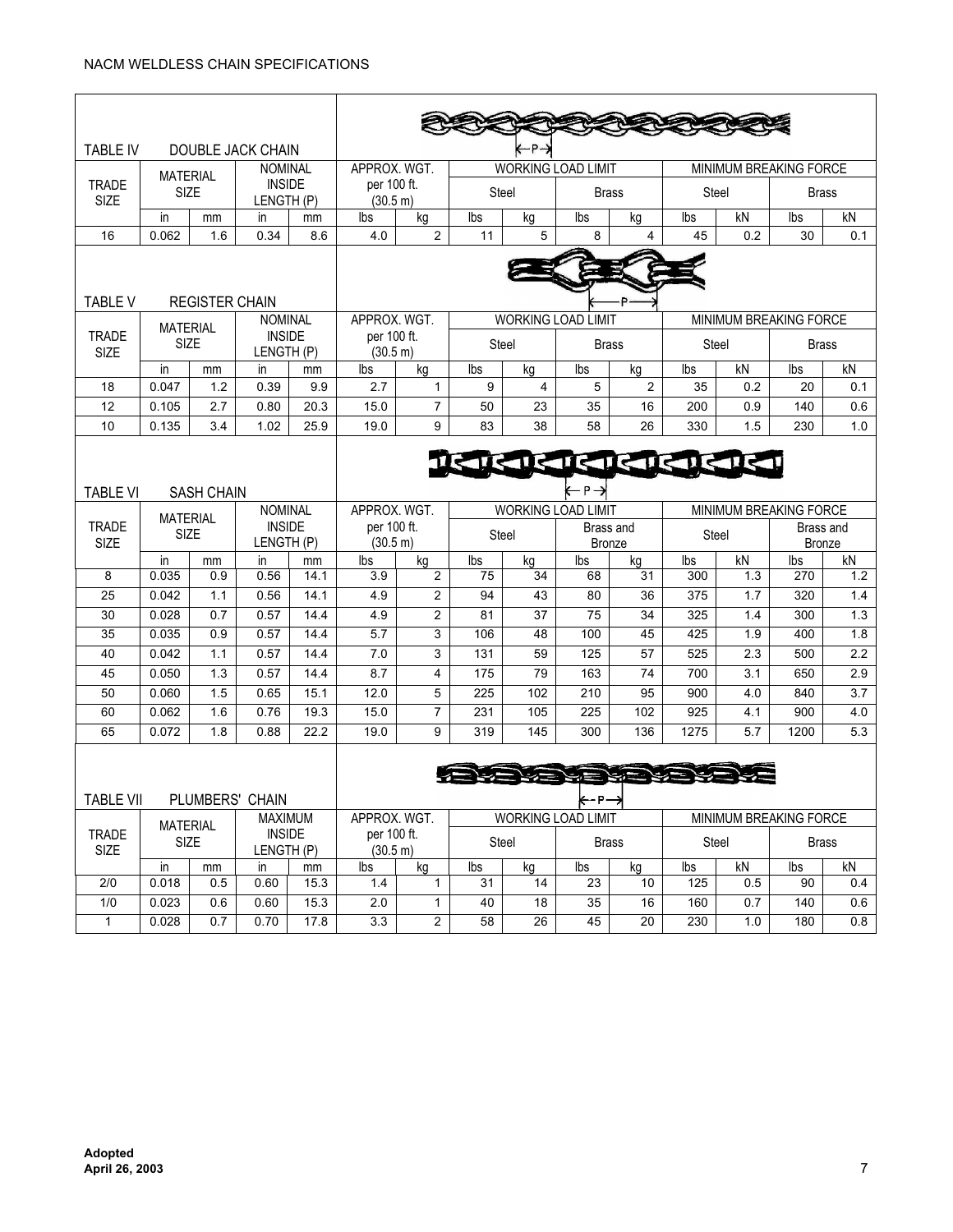$\mathbf{r}$ 

| TABLE IV                             |                                                     |                             | DOUBLE JACK CHAIN           |                         | -P                                                                  |                                  |              |                            |                     |                               |              |                            |                               |            |  |
|--------------------------------------|-----------------------------------------------------|-----------------------------|-----------------------------|-------------------------|---------------------------------------------------------------------|----------------------------------|--------------|----------------------------|---------------------|-------------------------------|--------------|----------------------------|-------------------------------|------------|--|
|                                      | <b>MATERIAL</b>                                     |                             | <b>NOMINAL</b>              |                         | APPROX. WGT.                                                        |                                  |              | <b>WORKING LOAD LIMIT</b>  |                     |                               |              | MINIMUM BREAKING FORCE     |                               |            |  |
| <b>SIZE</b>                          | <b>INSIDE</b><br><b>TRADE</b><br>SIZE<br>LENGTH (P) |                             | per 100 ft.<br>(30.5 m)     |                         | <b>Steel</b>                                                        |                                  | <b>Brass</b> |                            | <b>Steel</b>        |                               | <b>Brass</b> |                            |                               |            |  |
|                                      | in                                                  | mm                          | in.                         | mm                      | Ibs                                                                 | kg                               | Ibs          | kg                         | Ibs                 | kg                            | lbs          | kN                         | lbs                           | kN         |  |
| 16                                   | 0.062                                               | 1.6                         | 0.34                        | 8.6                     | 4.0                                                                 | $\overline{2}$                   | 11           | 5                          | 8                   | 4                             | 45           | 0.2                        | 30                            | 0.1        |  |
| <b>TABLE V</b>                       |                                                     | <b>REGISTER CHAIN</b>       |                             |                         |                                                                     |                                  |              |                            |                     |                               |              |                            |                               |            |  |
|                                      | <b>MATERIAL</b>                                     |                             | <b>NOMINAL</b>              |                         | APPROX. WGT.<br><b>WORKING LOAD LIMIT</b>                           |                                  |              |                            |                     | <b>MINIMUM BREAKING FORCE</b> |              |                            |                               |            |  |
| <b>TRADE</b><br><b>SIZE</b>          | <b>SIZE</b>                                         |                             | <b>INSIDE</b><br>LENGTH (P) |                         | per 100 ft.<br>(30.5 m)                                             |                                  | Steel        |                            | <b>Brass</b>        |                               | Steel        |                            | <b>Brass</b>                  |            |  |
|                                      | in                                                  | mm                          | in                          | mm                      | Ibs                                                                 | kg                               | lbs          | kg                         | lbs                 | kg                            | lbs          | kN                         | lbs                           | kN         |  |
| 18                                   | 0.047                                               | 1.2                         | 0.39                        | 9.9                     | 2.7                                                                 | $\mathbf{1}$                     | 9            | 4                          | 5                   | 2                             | 35           | 0.2                        | 20                            | 0.1        |  |
| 12                                   | 0.105                                               | 2.7                         | 0.80                        | 20.3                    | 15.0                                                                | $\overline{7}$                   | 50           | 23                         | 35                  | 16                            | 200          | 0.9                        | 140                           | 0.6        |  |
| 10                                   | 0.135                                               | 3.4                         | 1.02                        | 25.9                    | 19.0                                                                | 9                                | 83           | 38                         | 58                  | 26                            | 330          | 1.5                        | 230                           | 1.0        |  |
| <b>TABLE VI</b><br><b>SASH CHAIN</b> |                                                     |                             |                             |                         |                                                                     |                                  |              | ITCHI CHI CHI CHI CHI C    | $-$ P $\rightarrow$ |                               |              |                            |                               |            |  |
| <b>NOMINAL</b><br><b>MATERIAL</b>    |                                                     |                             |                             |                         | <b>WORKING LOAD LIMIT</b><br>MINIMUM BREAKING FORCE<br>APPROX. WGT. |                                  |              |                            |                     |                               |              |                            |                               |            |  |
| <b>TRADE</b><br><b>SIZE</b><br>SIZE  |                                                     | <b>INSIDE</b><br>LENGTH (P) |                             | per 100 ft.<br>(30.5 m) |                                                                     | Steel                            |              | Brass and<br><b>Bronze</b> |                     | <b>Steel</b>                  |              | Brass and<br><b>Bronze</b> |                               |            |  |
| 8                                    | in<br>0.035                                         | mm                          | in.                         | mm                      | Ibs                                                                 | kg                               | Ibs          | kg                         | Ibs                 | kg<br>$\overline{31}$         | lbs          | kN                         | lbs                           | kN         |  |
| $\overline{25}$                      | 0.042                                               | 0.9<br>1.1                  | 0.56<br>0.56                | 14.1<br>14.1            | 3.9<br>4.9                                                          | $\overline{2}$<br>$\overline{2}$ | 75<br>94     | 34<br>$\overline{43}$      | 68<br>80            | $\overline{36}$               | 300<br>375   | 1.3<br>1.7                 | 270<br>320                    | 1.2<br>1.4 |  |
| 30                                   | 0.028                                               | 0.7                         | 0.57                        | 14.4                    | 4.9                                                                 | $\overline{2}$                   | 81           | 37                         | 75                  | 34                            | 325          | 1.4                        | 300                           | 1.3        |  |
| $\overline{35}$                      | 0.035                                               | 0.9                         | 0.57                        | 14.4                    | $\overline{5.7}$                                                    | 3                                | 106          | 48                         | 100                 | 45                            | 425          | 1.9                        | 400                           | 1.8        |  |
| 40                                   | 0.042                                               | 1.1                         | 0.57                        | 14.4                    | 7.0                                                                 | 3                                | 131          | $\overline{59}$            | $\overline{125}$    | $\overline{57}$               | 525          | 2.3                        | 500                           | 2.2        |  |
| 45                                   | 0.050                                               | 1.3                         | 0.57                        | 14.4                    | 8.7                                                                 | 4                                | 175          | 79                         | 163                 | 74                            | 700          | 3.1                        | 650                           | 2.9        |  |
| 50                                   | 0.060                                               | 1.5                         | 0.65                        | 15.1                    | 12.0                                                                | 5                                | 225          | 102                        | 210                 | 95                            | 900          | 4.0                        | 840                           | 3.7        |  |
| 60                                   | 0.062                                               | 1.6                         | 0.76                        | 19.3                    | 15.0                                                                | $\overline{7}$                   | 231          | 105                        | 225                 | 102                           | 925          | 4.1                        | 900                           | 4.0        |  |
| 65                                   | 0.072                                               | 1.8                         | 0.88                        | 22.2                    | 19.0                                                                | 9                                | 319          | 145                        | 300                 | 136                           | 1275         | 5.7                        | 1200                          | 5.3        |  |
|                                      |                                                     |                             |                             |                         |                                                                     |                                  |              |                            |                     |                               |              |                            |                               |            |  |
| <b>TABLE VII</b>                     |                                                     |                             | PLUMBERS' CHAIN             |                         |                                                                     |                                  |              |                            | r 17                |                               |              |                            |                               |            |  |
|                                      | <b>MATERIAL</b>                                     |                             | <b>MAXIMUM</b>              |                         | APPROX. WGT.                                                        |                                  |              | WORKING LOAD LIMIT         |                     |                               |              |                            | <b>MINIMUM BREAKING FORCE</b> |            |  |
| <b>TRADE</b><br>SIZE                 | SIZE                                                |                             | <b>INSIDE</b><br>LENGTH (P) |                         | per 100 ft.<br>(30.5 m)                                             |                                  | Steel        |                            | <b>Brass</b>        |                               | Steel        |                            | <b>Brass</b>                  |            |  |
|                                      | $\mathsf{in}$                                       | mm                          | in                          | mm                      | lbs                                                                 | kg                               | lbs          | kg                         | lbs                 | kg                            | lbs          | kN                         | Ibs                           | kN         |  |
| $\overline{2/0}$<br>1/0              | 0.018<br>0.023                                      | 0.5<br>0.6                  | 0.60<br>0.60                | 15.3<br>15.3            | 1.4<br>2.0                                                          | $\mathbf{1}$<br>1                | 31<br>40     | 14<br>18                   | 23<br>35            | 10<br>16                      | 125<br>160   | 0.5<br>0.7                 | 90<br>140                     | 0.4<br>0.6 |  |